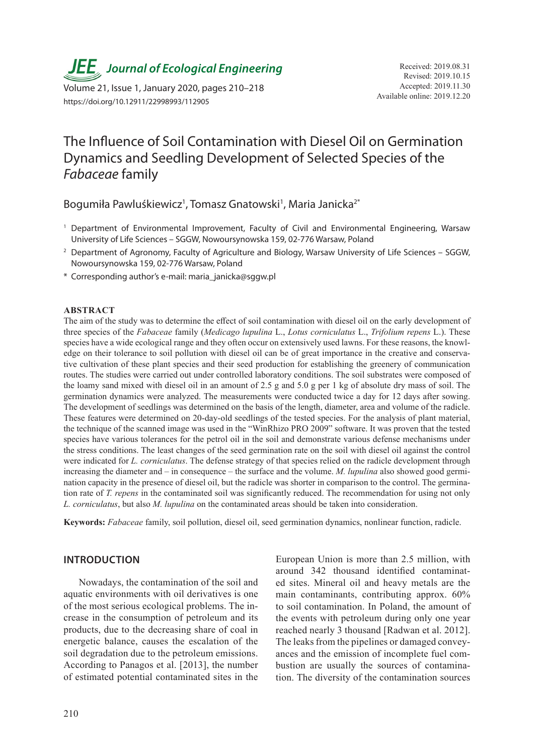*JEE* Journal of Ecological Engineering Received: 2019.08.31

Available online: 2019.12.20 Volume 21, Issue 1, January 2020, pages 210–218 https://doi.org/10.12911/22998993/112905

# The Influence of Soil Contamination with Diesel Oil on Germination Dynamics and Seedling Development of Selected Species of the *Fabaceae* family

Bogumiła Pawluśkiewicz<sup>1</sup>, Tomasz Gnatowski<sup>1</sup>, Maria Janicka<sup>2\*</sup>

- <sup>1</sup> Department of Environmental Improvement, Faculty of Civil and Environmental Engineering, Warsaw University of Life Sciences – SGGW, Nowoursynowska 159, 02-776 Warsaw, Poland
- <sup>2</sup> Department of Agronomy, Faculty of Agriculture and Biology, Warsaw University of Life Sciences SGGW, Nowoursynowska 159, 02-776 Warsaw, Poland
- \* Corresponding author's e-mail: maria\_janicka@sggw.pl

#### **ABSTRACT**

The aim of the study was to determine the effect of soil contamination with diesel oil on the early development of three species of the *Fabaceae* family (*Medicago lupulina* L., *Lotus corniculatus* L., *Trifolium repens* L.). These species have a wide ecological range and they often occur on extensively used lawns. For these reasons, the knowledge on their tolerance to soil pollution with diesel oil can be of great importance in the creative and conservative cultivation of these plant species and their seed production for establishing the greenery of communication routes. The studies were carried out under controlled laboratory conditions. The soil substrates were composed of the loamy sand mixed with diesel oil in an amount of 2.5 g and 5.0 g per 1 kg of absolute dry mass of soil. The germination dynamics were analyzed. The measurements were conducted twice a day for 12 days after sowing. The development of seedlings was determined on the basis of the length, diameter, area and volume of the radicle. These features were determined on 20-day-old seedlings of the tested species. For the analysis of plant material, the technique of the scanned image was used in the "WinRhizo PRO 2009" software. It was proven that the tested species have various tolerances for the petrol oil in the soil and demonstrate various defense mechanisms under the stress conditions. The least changes of the seed germination rate on the soil with diesel oil against the control were indicated for *L. corniculatus*. The defense strategy of that species relied on the radicle development through increasing the diameter and – in consequence – the surface and the volume. *M. lupulina* also showed good germination capacity in the presence of diesel oil, but the radicle was shorter in comparison to the control. The germination rate of *T. repens* in the contaminated soil was significantly reduced. The recommendation for using not only *L. corniculatus*, but also *M. lupulina* on the contaminated areas should be taken into consideration.

**Keywords:** *Fabaceae* family, soil pollution, diesel oil, seed germination dynamics, nonlinear function, radicle.

## **INTRODUCTION**

Nowadays, the contamination of the soil and aquatic environments with oil derivatives is one of the most serious ecological problems. The increase in the consumption of petroleum and its products, due to the decreasing share of coal in energetic balance, causes the escalation of the soil degradation due to the petroleum emissions. According to Panagos et al. [2013], the number of estimated potential contaminated sites in the

210

European Union is more than 2.5 million, with around 342 thousand identified contaminated sites. Mineral oil and heavy metals are the main contaminants, contributing approx. 60% to soil contamination. In Poland, the amount of the events with petroleum during only one year reached nearly 3 thousand [Radwan et al. 2012]. The leaks from the pipelines or damaged conveyances and the emission of incomplete fuel combustion are usually the sources of contamination. The diversity of the contamination sources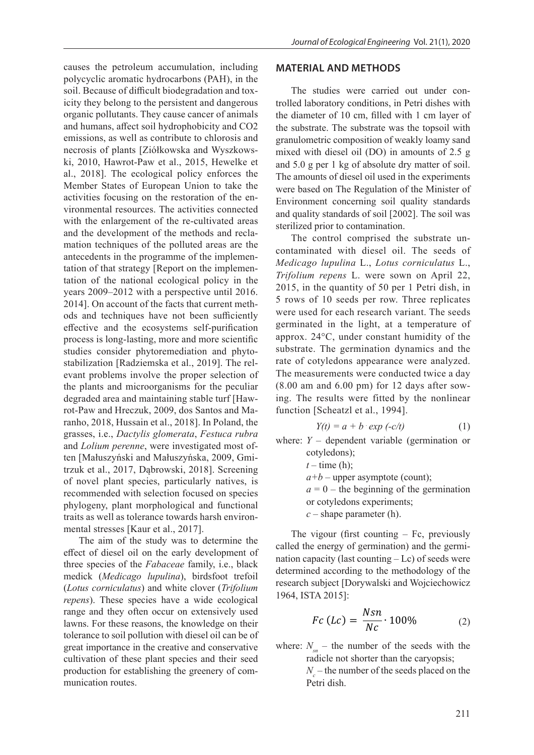causes the petroleum accumulation, including polycyclic aromatic hydrocarbons (PAH), in the soil. Because of difficult biodegradation and toxicity they belong to the persistent and dangerous organic pollutants. They cause cancer of animals and humans, affect soil hydrophobicity and CO2 emissions, as well as contribute to chlorosis and necrosis of plants [Ziółkowska and Wyszkowski, 2010, Hawrot-Paw et al., 2015, Hewelke et al., 2018]. The ecological policy enforces the Member States of European Union to take the activities focusing on the restoration of the environmental resources. The activities connected with the enlargement of the re-cultivated areas and the development of the methods and reclamation techniques of the polluted areas are the antecedents in the programme of the implementation of that strategy [Report on the implementation of the national ecological policy in the years 2009–2012 with a perspective until 2016. 2014]. On account of the facts that current methods and techniques have not been sufficiently effective and the ecosystems self-purification process is long-lasting, more and more scientific studies consider phytoremediation and phytostabilization [Radziemska et al., 2019]. The relevant problems involve the proper selection of the plants and microorganisms for the peculiar degraded area and maintaining stable turf [Hawrot-Paw and Hreczuk, 2009, dos Santos and Maranho, 2018, Hussain et al., 2018]. In Poland, the grasses, i.e., *Dactylis glomerata*, *Festuca rubra*  and *Lolium perenne*, were investigated most often [Małuszyński and Małuszyńska, 2009, Gmitrzuk et al., 2017, Dąbrowski, 2018]. Screening of novel plant species, particularly natives, is recommended with selection focused on species phylogeny, plant morphological and functional traits as well as tolerance towards harsh environmental stresses [Kaur et al., 2017].

The aim of the study was to determine the effect of diesel oil on the early development of three species of the *Fabaceae* family, i.e., black medick (*Medicago lupulina*), birdsfoot trefoil (*Lotus corniculatus*) and white clover (*Trifolium repens*). These species have a wide ecological range and they often occur on extensively used lawns. For these reasons, the knowledge on their tolerance to soil pollution with diesel oil can be of great importance in the creative and conservative cultivation of these plant species and their seed production for establishing the greenery of communication routes.

# **MATERIAL AND METHODS**

The studies were carried out under controlled laboratory conditions, in Petri dishes with the diameter of 10 cm, filled with 1 cm layer of the substrate. The substrate was the topsoil with granulometric composition of weakly loamy sand mixed with diesel oil (DO) in amounts of 2.5 g and 5.0 g per 1 kg of absolute dry matter of soil. The amounts of diesel oil used in the experiments were based on The Regulation of the Minister of Environment concerning soil quality standards and quality standards of soil [2002]. The soil was sterilized prior to contamination.

The control comprised the substrate uncontaminated with diesel oil. The seeds of *Medicago lupulina* L., *Lotus corniculatus* L., *Trifolium repens* L. were sown on April 22, 2015, in the quantity of 50 per 1 Petri dish, in 5 rows of 10 seeds per row. Three replicates were used for each research variant. The seeds germinated in the light, at a temperature of approx. 24°C, under constant humidity of the substrate. The germination dynamics and the rate of cotyledons appearance were analyzed. The measurements were conducted twice a day (8.00 am and 6.00 pm) for 12 days after sowing. The results were fitted by the nonlinear function [Scheatzl et al., 1994].

$$
Y(t) = a + b \exp(-c/t) \tag{1}
$$

where:  $Y -$  dependent variable (germination or cotyledons);  $t$  – time (h);

 $a+b$  – upper asymptote (count);

 $a = 0$  – the beginning of the germination or cotyledons experiments;

*c* – shape parameter (h).

The vigour (first counting  $-$  Fc, previously called the energy of germination) and the germination capacity (last counting  $-$  Lc) of seeds were determined according to the methodology of the research subject [Dorywalski and Wojciechowicz 1964, ISTA 2015]:

$$
Fc (Lc) = \frac{Nsn}{Nc} \cdot 100\% \tag{2}
$$

where:  $N_{sn}$  – the number of the seeds with the radicle not shorter than the caryopsis;  $N_c$  – the number of the seeds placed on the Petri dish.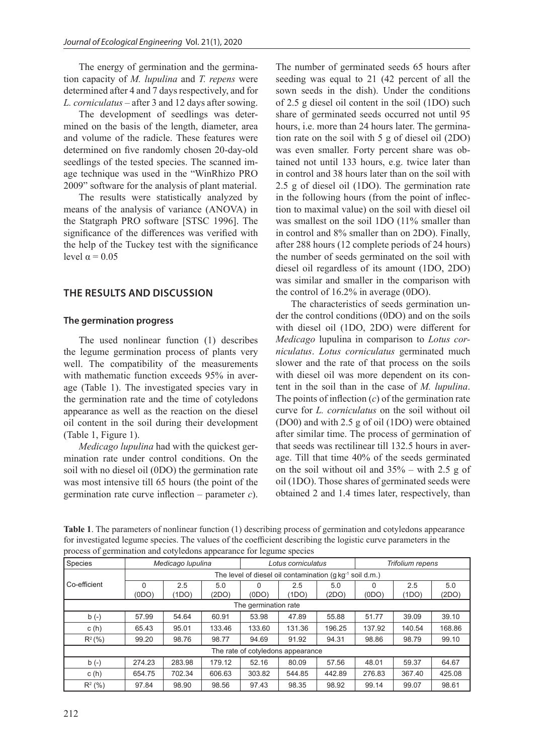The energy of germination and the germination capacity of *M. lupulina* and *T. repens* were determined after 4 and 7 days respectively, and for *L. corniculatus* – after 3 and 12 days after sowing.

The development of seedlings was determined on the basis of the length, diameter, area and volume of the radicle. These features were determined on five randomly chosen 20-day-old seedlings of the tested species. The scanned image technique was used in the "WinRhizo PRO 2009" software for the analysis of plant material.

The results were statistically analyzed by means of the analysis of variance (ANOVA) in the Statgraph PRO software [STSC 1996]. The significance of the differences was verified with the help of the Tuckey test with the significance level  $α = 0.05$ 

# **THE RESULTS AND DISCUSSION**

#### **The germination progress**

The used nonlinear function (1) describes the legume germination process of plants very well. The compatibility of the measurements with mathematic function exceeds 95% in average (Table 1). The investigated species vary in the germination rate and the time of cotyledons appearance as well as the reaction on the diesel oil content in the soil during their development (Table 1, Figure 1).

*Medicago lupulina* had with the quickest germination rate under control conditions. On the soil with no diesel oil (0DO) the germination rate was most intensive till 65 hours (the point of the germination rate curve inflection – parameter *c*). The number of germinated seeds 65 hours after seeding was equal to 21 (42 percent of all the sown seeds in the dish). Under the conditions of 2.5 g diesel oil content in the soil (1DO) such share of germinated seeds occurred not until 95 hours, i.e. more than 24 hours later. The germination rate on the soil with 5 g of diesel oil (2DO) was even smaller. Forty percent share was obtained not until 133 hours, e.g. twice later than in control and 38 hours later than on the soil with 2.5 g of diesel oil (1DO). The germination rate in the following hours (from the point of inflection to maximal value) on the soil with diesel oil was smallest on the soil 1DO (11% smaller than in control and 8% smaller than on 2DO). Finally, after 288 hours (12 complete periods of 24 hours) the number of seeds germinated on the soil with diesel oil regardless of its amount (1DO, 2DO) was similar and smaller in the comparison with the control of 16.2% in average (0DO).

The characteristics of seeds germination under the control conditions (0DO) and on the soils with diesel oil (1DO, 2DO) were different for *Medicago* lupulina in comparison to *Lotus corniculatus*. *Lotus corniculatus* germinated much slower and the rate of that process on the soils with diesel oil was more dependent on its content in the soil than in the case of *M. lupulina*. The points of inflection (*c*) of the germination rate curve for *L. corniculatus* on the soil without oil (DO0) and with 2.5 g of oil (1DO) were obtained after similar time. The process of germination of that seeds was rectilinear till 132.5 hours in average. Till that time 40% of the seeds germinated on the soil without oil and 35% – with 2.5 g of oil (1DO). Those shares of germinated seeds were obtained 2 and 1.4 times later, respectively, than

**Table 1**. The parameters of nonlinear function (1) describing process of germination and cotyledons appearance for investigated legume species. The values of the coefficient describing the logistic curve parameters in the process of germination and cotyledons appearance for legume species

| $\check{ }$                       |                                                              |        | . .    | $\tilde{}$         | $\mathbf{r}$ |                  |        |        |        |  |
|-----------------------------------|--------------------------------------------------------------|--------|--------|--------------------|--------------|------------------|--------|--------|--------|--|
| Species                           | Medicago Iupulina                                            |        |        | Lotus corniculatus |              | Trifolium repens |        |        |        |  |
|                                   | The level of diesel oil contamination (q kq-1)<br>soil d.m.) |        |        |                    |              |                  |        |        |        |  |
| Co-efficient                      | $\Omega$                                                     | 2.5    | 5.0    | 0                  | 2.5          | 5.0              | 0      | 2.5    | 5.0    |  |
|                                   | (ODO)                                                        | (1DO)  | (2DO)  | (ODO)              | (1DO)        | (2DO)            | (0DO)  | (1DO)  | (2DO)  |  |
| The germination rate              |                                                              |        |        |                    |              |                  |        |        |        |  |
| $b(-)$                            | 57.99                                                        | 54.64  | 60.91  | 53.98              | 47.89        | 55.88            | 51.77  | 39.09  | 39.10  |  |
| c(h)                              | 65.43                                                        | 95.01  | 133.46 | 133.60             | 131.36       | 196.25           | 137.92 | 140.54 | 168.86 |  |
| $R^2(\% )$                        | 99.20                                                        | 98.76  | 98.77  | 94.69              | 91.92        | 94.31            | 98.86  | 98.79  | 99.10  |  |
| The rate of cotyledons appearance |                                                              |        |        |                    |              |                  |        |        |        |  |
| $b(-)$                            | 274.23                                                       | 283.98 | 179.12 | 52.16              | 80.09        | 57.56            | 48.01  | 59.37  | 64.67  |  |
| c(h)                              | 654.75                                                       | 702.34 | 606.63 | 303.82             | 544.85       | 442.89           | 276.83 | 367.40 | 425.08 |  |
| $R^2$ (%)                         | 97.84                                                        | 98.90  | 98.56  | 97.43              | 98.35        | 98.92            | 99.14  | 99.07  | 98.61  |  |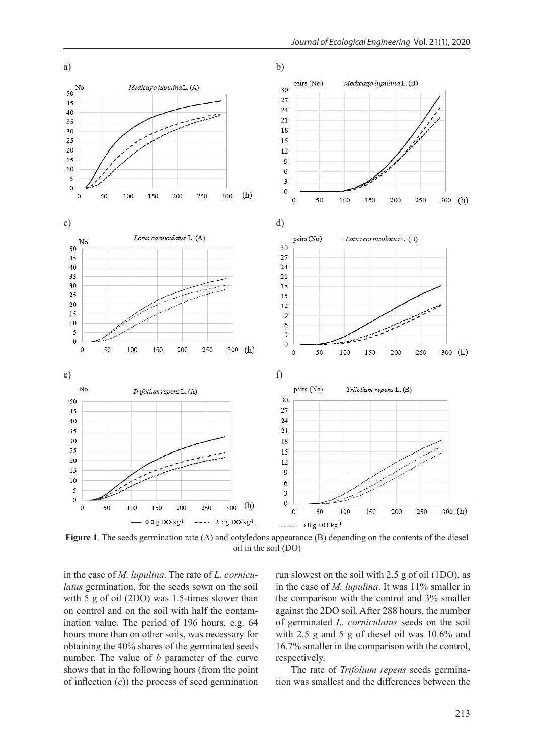

**Figure 1**. The seeds germination rate (A) and cotyledons appearance (B) depending on the contents of the diesel oil in the soil (DO)

in the case of *M. lupulina*. The rate of *L. corniculatus* germination, for the seeds sown on the soil with 5 g of oil (2DO) was 1.5-times slower than on control and on the soil with half the contamination value. The period of 196 hours, e.g. 64 hours more than on other soils, was necessary for obtaining the 40% shares of the germinated seeds number. The value of *b* parameter of the curve shows that in the following hours (from the point of inflection (*c*)) the process of seed germination

run slowest on the soil with 2.5 g of oil (1DO), as in the case of *M. lupulina*. It was 11% smaller in the comparison with the control and 3% smaller against the 2DO soil. After 288 hours, the number of germinated *L. corniculatus* seeds on the soil with 2.5 g and 5 g of diesel oil was 10.6% and 16.7% smaller in the comparison with the control, respectively.

The rate of *Trifolium repens* seeds germination was smallest and the differences between the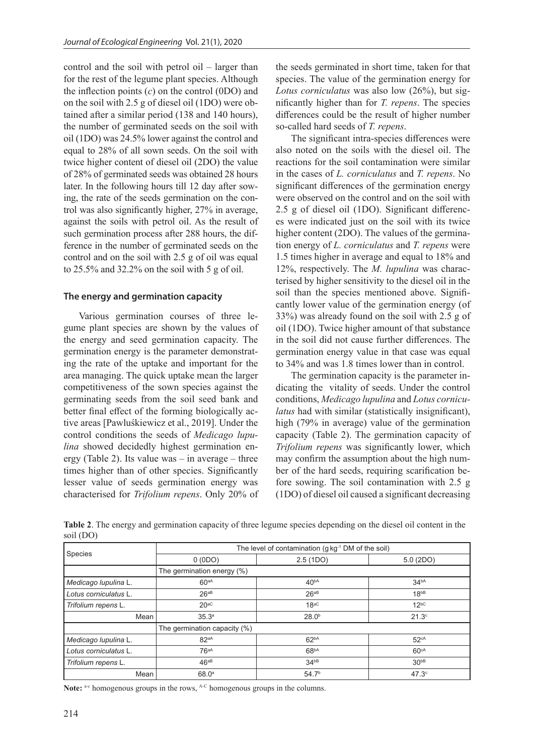control and the soil with petrol oil – larger than for the rest of the legume plant species. Although the inflection points (*c*) on the control (0DO) and on the soil with 2.5 g of diesel oil (1DO) were obtained after a similar period (138 and 140 hours), the number of germinated seeds on the soil with oil (1DO) was 24.5% lower against the control and equal to 28% of all sown seeds. On the soil with twice higher content of diesel oil (2DO) the value of 28% of germinated seeds was obtained 28 hours later. In the following hours till 12 day after sowing, the rate of the seeds germination on the control was also significantly higher, 27% in average, against the soils with petrol oil. As the result of such germination process after 288 hours, the difference in the number of germinated seeds on the control and on the soil with 2.5 g of oil was equal to 25.5% and 32.2% on the soil with 5 g of oil.

# **The energy and germination capacity**

Various germination courses of three legume plant species are shown by the values of the energy and seed germination capacity. The germination energy is the parameter demonstrating the rate of the uptake and important for the area managing. The quick uptake mean the larger competitiveness of the sown species against the germinating seeds from the soil seed bank and better final effect of the forming biologically active areas [Pawluśkiewicz et al., 2019]. Under the control conditions the seeds of *Medicago lupulina* showed decidedly highest germination energy (Table 2). Its value was  $-$  in average  $-$  three times higher than of other species. Significantly lesser value of seeds germination energy was characterised for *Trifolium repens*. Only 20% of the seeds germinated in short time, taken for that species. The value of the germination energy for *Lotus corniculatus* was also low (26%), but significantly higher than for *T. repens*. The species differences could be the result of higher number so-called hard seeds of *T. repens*.

The significant intra-species differences were also noted on the soils with the diesel oil. The reactions for the soil contamination were similar in the cases of *L. corniculatus* and *T. repens*. No significant differences of the germination energy were observed on the control and on the soil with 2.5 g of diesel oil (1DO). Significant differences were indicated just on the soil with its twice higher content (2DO). The values of the germination energy of *L. corniculatus* and *T. repens* were 1.5 times higher in average and equal to 18% and 12%, respectively. The *M. lupulina* was characterised by higher sensitivity to the diesel oil in the soil than the species mentioned above. Significantly lower value of the germination energy (of 33%) was already found on the soil with 2.5 g of oil (1DO). Twice higher amount of that substance in the soil did not cause further differences. The germination energy value in that case was equal to 34% and was 1.8 times lower than in control.

The germination capacity is the parameter indicating the vitality of seeds. Under the control conditions, *Medicago lupulina* and *Lotus corniculatus* had with similar (statistically insignificant), high (79% in average) value of the germination capacity (Table 2). The germination capacity of *Trifolium repens* was significantly lower, which may confirm the assumption about the high number of the hard seeds, requiring scarification before sowing. The soil contamination with 2.5 g (1DO) of diesel oil caused a significant decreasing

|                       | The level of contamination (g kg <sup>-1</sup> DM of the soil) |                   |                   |  |  |  |
|-----------------------|----------------------------------------------------------------|-------------------|-------------------|--|--|--|
| Species               | 0(0DO)                                                         | 2.5 (1DO)         | 5.0(2DO)          |  |  |  |
|                       | The germination energy (%)                                     |                   |                   |  |  |  |
| Medicago Iupulina L.  | 60aA                                                           | 40 <sup>bA</sup>  | 34 <sup>bA</sup>  |  |  |  |
| Lotus corniculatus L. | 26aB                                                           | $26^{ab}$         | 18 <sup>bB</sup>  |  |  |  |
| Trifolium repens L.   | $20^{aC}$                                                      | $18^{aC}$         | $12^{b}$          |  |  |  |
| Mean                  | 35.3 <sup>a</sup>                                              | 28.0 <sup>b</sup> | 21.3 <sup>c</sup> |  |  |  |
|                       | The germination capacity (%)                                   |                   |                   |  |  |  |
| Medicago Iupulina L.  | 82aA                                                           | 62 <sup>bA</sup>  | 52cA              |  |  |  |
| Lotus corniculatus L. | 76aA                                                           | 68 <sup>bA</sup>  | 60 <sup>CA</sup>  |  |  |  |
| Trifolium repens L.   | $46aB}$                                                        | 34 <sub>DB</sub>  | 30 <sub>PB</sub>  |  |  |  |
| Mean                  | 68.0 <sup>a</sup>                                              | 54.7 <sup>b</sup> | $47.3^\circ$      |  |  |  |

**Table 2**. The energy and germination capacity of three legume species depending on the diesel oil content in the soil (DO)

Note: a-c homogenous groups in the rows, <sup>A-C</sup> homogenous groups in the columns.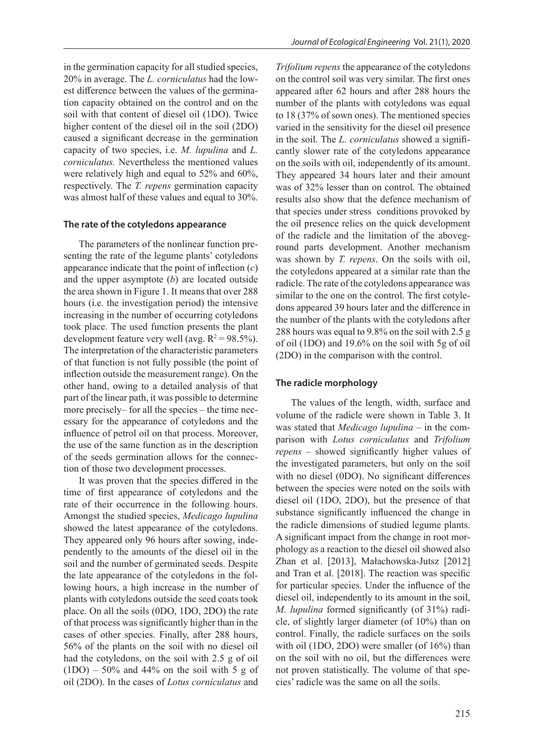in the germination capacity for all studied species, 20% in average. The *L. corniculatus* had the lowest difference between the values of the germination capacity obtained on the control and on the soil with that content of diesel oil (1DO). Twice higher content of the diesel oil in the soil (2DO) caused a significant decrease in the germination capacity of two species, i.e. *M. lupulina* and *L. corniculatus.* Nevertheless the mentioned values were relatively high and equal to 52% and 60%, respectively. The *T. repens* germination capacity was almost half of these values and equal to 30%.

#### **The rate of the cotyledons appearance**

The parameters of the nonlinear function presenting the rate of the legume plants' cotyledons appearance indicate that the point of inflection (*c*) and the upper asymptote (*b*) are located outside the area shown in Figure 1. It means that over 288 hours (i.e. the investigation period) the intensive increasing in the number of occurring cotyledons took place. The used function presents the plant development feature very well (avg.  $R^2 = 98.5\%$ ). The interpretation of the characteristic parameters of that function is not fully possible (the point of inflection outside the measurement range). On the other hand, owing to a detailed analysis of that part of the linear path, it was possible to determine more precisely– for all the species – the time necessary for the appearance of cotyledons and the influence of petrol oil on that process. Moreover, the use of the same function as in the description of the seeds germination allows for the connection of those two development processes.

It was proven that the species differed in the time of first appearance of cotyledons and the rate of their occurrence in the following hours. Amongst the studied species, *Medicago lupulina*  showed the latest appearance of the cotyledons. They appeared only 96 hours after sowing, independently to the amounts of the diesel oil in the soil and the number of germinated seeds. Despite the late appearance of the cotyledons in the following hours, a high increase in the number of plants with cotyledons outside the seed coats took place. On all the soils (0DO, 1DO, 2DO) the rate of that process was significantly higher than in the cases of other species. Finally, after 288 hours, 56% of the plants on the soil with no diesel oil had the cotyledons, on the soil with 2.5 g of oil  $(1DO) - 50\%$  and 44% on the soil with 5 g of oil (2DO). In the cases of *Lotus corniculatus* and

*Trifolium repens* the appearance of the cotyledons on the control soil was very similar. The first ones appeared after 62 hours and after 288 hours the number of the plants with cotyledons was equal to 18 (37% of sown ones). The mentioned species varied in the sensitivity for the diesel oil presence in the soil. The *L. corniculatus* showed a significantly slower rate of the cotyledons appearance on the soils with oil, independently of its amount. They appeared 34 hours later and their amount was of 32% lesser than on control. The obtained results also show that the defence mechanism of that species under stress conditions provoked by the oil presence relies on the quick development of the radicle and the limitation of the aboveground parts development. Another mechanism was shown by *T. repens*. On the soils with oil, the cotyledons appeared at a similar rate than the radicle. The rate of the cotyledons appearance was similar to the one on the control. The first cotyledons appeared 39 hours later and the difference in the number of the plants with the cotyledons after 288 hours was equal to 9.8% on the soil with 2.5 g of oil (1DO) and 19.6% on the soil with 5g of oil (2DO) in the comparison with the control.

#### **The radicle morphology**

The values of the length, width, surface and volume of the radicle were shown in Table 3. It was stated that *Medicago lupulina* – in the comparison with *Lotus corniculatus* and *Trifolium repens* – showed significantly higher values of the investigated parameters, but only on the soil with no diesel (0DO). No significant differences between the species were noted on the soils with diesel oil (1DO, 2DO), but the presence of that substance significantly influenced the change in the radicle dimensions of studied legume plants. A significant impact from the change in root morphology as a reaction to the diesel oil showed also Zhan et al. [2013], Małachowska-Jutsz [2012] and Tran et al. [2018]. The reaction was specific for particular species. Under the influence of the diesel oil, independently to its amount in the soil, *M. lupulina* formed significantly (of 31%) radicle, of slightly larger diameter (of 10%) than on control. Finally, the radicle surfaces on the soils with oil (1DO, 2DO) were smaller (of 16%) than on the soil with no oil, but the differences were not proven statistically. The volume of that species' radicle was the same on all the soils.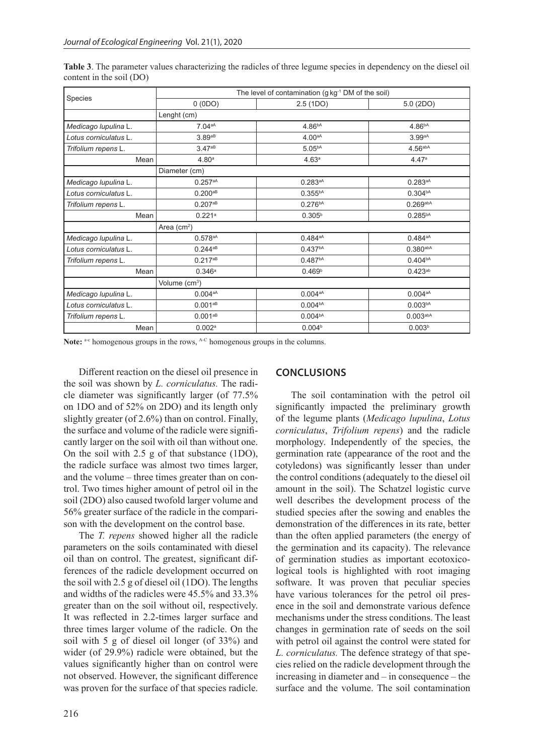|                       | The level of contamination (g kg <sup>-1</sup> DM of the soil) |                     |                      |  |  |  |  |
|-----------------------|----------------------------------------------------------------|---------------------|----------------------|--|--|--|--|
| Species               | 0(0DO)                                                         | 2.5(1D)             | 5.0 (2DO)            |  |  |  |  |
|                       | Lenght (cm)                                                    |                     |                      |  |  |  |  |
| Medicago Iupulina L.  | 7.04aA                                                         | 4.86 <sup>bA</sup>  | 4.86 <sup>bA</sup>   |  |  |  |  |
| Lotus corniculatus L. | 3.89aB                                                         | 4.00aA              | 3.99aA               |  |  |  |  |
| Trifolium repens L.   | 3.47aB                                                         | 5.05 <sup>bA</sup>  | 4.56a <sub>abA</sub> |  |  |  |  |
| Mean                  | 4.80 <sup>a</sup>                                              | 4.63 <sup>a</sup>   | 4.47a                |  |  |  |  |
|                       | Diameter (cm)                                                  |                     |                      |  |  |  |  |
| Medicago Iupulina L.  | 0.257aA                                                        | $0.283aA}$          | $0.283aA}$           |  |  |  |  |
| Lotus corniculatus L. | $0.200^{aB}$                                                   | $0.355^{bA}$        | 0.304 <sup>bA</sup>  |  |  |  |  |
| Trifolium repens L.   | $0.207^{aB}$                                                   | 0.276 <sup>bA</sup> | $0.269$ abA          |  |  |  |  |
| Mean                  | 0.221a                                                         | $0.305^{b}$         | $0.285^{bA}$         |  |  |  |  |
|                       | Area $(cm2)$                                                   |                     |                      |  |  |  |  |
| Medicago Iupulina L.  | $0.578^{aA}$                                                   | $0.484aA}$          | $0.484aA}$           |  |  |  |  |
| Lotus corniculatus L. | $0.244^{aB}$                                                   | 0.437 <sup>bA</sup> | $0.380$ abA          |  |  |  |  |
| Trifolium repens L.   | $0.217^{aB}$                                                   | 0.487 <sup>bA</sup> | 0.404 <sup>bA</sup>  |  |  |  |  |
| Mean                  | 0.346a                                                         | 0.469 <sup>b</sup>  | $0.423^{ab}$         |  |  |  |  |
|                       | Volume (cm <sup>3</sup> )                                      |                     |                      |  |  |  |  |
| Medicago Iupulina L.  | $0.004^{aA}$                                                   | $0.004^{aA}$        | $0.004^{aA}$         |  |  |  |  |
| Lotus corniculatus L. | $0.001^{aB}$                                                   | 0.004 <sup>bA</sup> | 0.003 <sub>bA</sub>  |  |  |  |  |
| Trifolium repens L.   | $0.001^{aB}$                                                   | 0.004 <sup>bA</sup> | 0.003 <sub>abA</sub> |  |  |  |  |
| Mean                  | 0.002a                                                         | 0.004 <sup>b</sup>  | 0.003 <sup>b</sup>   |  |  |  |  |

**Table 3**. The parameter values characterizing the radicles of three legume species in dependency on the diesel oil content in the soil (DO)

Note: <sup>a-c</sup> homogenous groups in the rows, <sup>A-C</sup> homogenous groups in the columns.

Different reaction on the diesel oil presence in the soil was shown by *L. corniculatus.* The radicle diameter was significantly larger (of 77.5% on 1DO and of 52% on 2DO) and its length only slightly greater (of 2.6%) than on control. Finally, the surface and volume of the radicle were significantly larger on the soil with oil than without one. On the soil with 2.5 g of that substance (1DO), the radicle surface was almost two times larger, and the volume – three times greater than on control. Two times higher amount of petrol oil in the soil (2DO) also caused twofold larger volume and 56% greater surface of the radicle in the comparison with the development on the control base.

The *T. repens* showed higher all the radicle parameters on the soils contaminated with diesel oil than on control. The greatest, significant differences of the radicle development occurred on the soil with 2.5 g of diesel oil (1DO). The lengths and widths of the radicles were 45.5% and 33.3% greater than on the soil without oil, respectively. It was reflected in 2.2-times larger surface and three times larger volume of the radicle. On the soil with 5 g of diesel oil longer (of 33%) and wider (of 29.9%) radicle were obtained, but the values significantly higher than on control were not observed. However, the significant difference was proven for the surface of that species radicle.

## **CONCLUSIONS**

The soil contamination with the petrol oil significantly impacted the preliminary growth of the legume plants (*Medicago lupulina*, *Lotus corniculatus*, *Trifolium repens*) and the radicle morphology. Independently of the species, the germination rate (appearance of the root and the cotyledons) was significantly lesser than under the control conditions (adequately to the diesel oil amount in the soil). The Schatzel logistic curve well describes the development process of the studied species after the sowing and enables the demonstration of the differences in its rate, better than the often applied parameters (the energy of the germination and its capacity). The relevance of germination studies as important ecotoxicological tools is highlighted with root imaging software. It was proven that peculiar species have various tolerances for the petrol oil presence in the soil and demonstrate various defence mechanisms under the stress conditions. The least changes in germination rate of seeds on the soil with petrol oil against the control were stated for *L. corniculatus.* The defence strategy of that species relied on the radicle development through the increasing in diameter and – in consequence – the surface and the volume. The soil contamination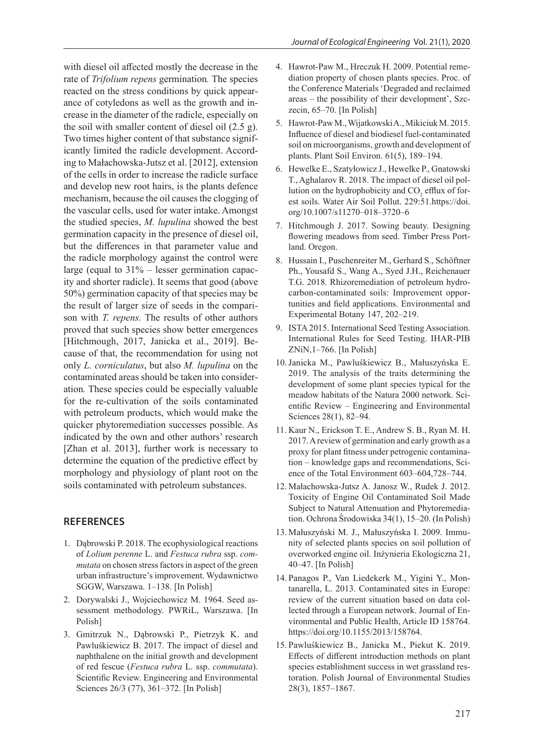with diesel oil affected mostly the decrease in the rate of *Trifolium repens* germination*.* The species reacted on the stress conditions by quick appearance of cotyledons as well as the growth and increase in the diameter of the radicle, especially on the soil with smaller content of diesel oil (2.5 g). Two times higher content of that substance significantly limited the radicle development. According to Małachowska-Jutsz et al. [2012], extension of the cells in order to increase the radicle surface and develop new root hairs, is the plants defence mechanism, because the oil causes the clogging of the vascular cells, used for water intake. Amongst the studied species, *M. lupulina* showed the best germination capacity in the presence of diesel oil, but the differences in that parameter value and the radicle morphology against the control were large (equal to 31% – lesser germination capacity and shorter radicle). It seems that good (above 50%) germination capacity of that species may be the result of larger size of seeds in the comparison with *T. repens.* The results of other authors proved that such species show better emergences [Hitchmough, 2017, Janicka et al., 2019]. Because of that, the recommendation for using not only *L. corniculatus*, but also *M. lupulina* on the contaminated areas should be taken into consideration*.* These species could be especially valuable for the re-cultivation of the soils contaminated with petroleum products, which would make the quicker phytoremediation successes possible. As indicated by the own and other authors' research [Zhan et al. 2013], further work is necessary to determine the equation of the predictive effect by morphology and physiology of plant root on the soils contaminated with petroleum substances.

## **REFERENCES**

- 1. Dąbrowski P. 2018. The ecophysiological reactions of *Lolium perenne* L. and *Festuca rubra* ssp. *commutata* on chosen stress factors in aspect of the green urban infrastructure's improvement. Wydawnictwo SGGW, Warszawa. 1–138. [In Polish]
- 2. Dorywalski J., Wojciechowicz M. 1964. Seed assessment methodology. PWRiL, Warszawa. [In Polish]
- 3. Gmitrzuk N., Dąbrowski P., Pietrzyk K. and Pawluśkiewicz B. 2017. The impact of diesel and naphthalene on the initial growth and development of red fescue (*Festuca rubra* L. ssp. *commutata*). Scientific Review. Engineering and Environmental Sciences 26/3 (77), 361–372. [In Polish]
- 4. Hawrot-Paw M., Hreczuk H. 2009. Potential remediation property of chosen plants species. Proc. of the Conference Materials 'Degraded and reclaimed areas – the possibility of their development', Szczecin, 65–70. [In Polish]
- 5. Hawrot-Paw M., Wijatkowski A., Mikiciuk M. 2015. Influence of diesel and biodiesel fuel-contaminated soil on microorganisms, growth and development of plants. Plant Soil Environ. 61(5), 189–194.
- 6. Hewelke E., Szatyłowicz J., Hewelke P., Gnatowski T., Aghalarov R. 2018. The impact of diesel oil pollution on the hydrophobicity and  $CO<sub>2</sub>$  efflux of forest soils. Water Air Soil Pollut. 229:51.https://doi. org/10.1007/s11270–018–3720–6
- 7. Hitchmough J. 2017. Sowing beauty. Designing flowering meadows from seed. Timber Press Portland. Oregon.
- 8. Hussain I., Puschenreiter M., Gerhard S., Schöftner Ph., Yousafd S., Wang A., Syed J.H., Reichenauer T.G. 2018. Rhizoremediation of petroleum hydrocarbon-contaminated soils: Improvement opportunities and field applications. Environmental and Experimental Botany 147, 202–219.
- 9. ISTA 2015. International Seed Testing Association. International Rules for Seed Testing. IHAR-PIB ZNiN,1–766. [In Polish]
- 10.Janicka M., Pawluśkiewicz B., Małuszyńska E. 2019. The analysis of the traits determining the development of some plant species typical for the meadow habitats of the Natura 2000 network. Scientific Review – Engineering and Environmental Sciences 28(1), 82–94.
- 11. Kaur N., Erickson T. E., Andrew S. B., Ryan M. H. 2017. A review of germination and early growth as a proxy for plant fitness under petrogenic contamination – knowledge gaps and recommendations, Science of the Total Environment 603–604,728–744.
- 12. Małachowska-Jutsz A. Janosz W., Rudek J. 2012. Toxicity of Engine Oil Contaminated Soil Made Subject to Natural Attenuation and Phytoremediation. Ochrona Środowiska 34(1), 15–20. (In Polish)
- 13. Małuszyński M. J., Małuszyńska I. 2009. Immunity of selected plants species on soil pollution of overworked engine oil. Inżynieria Ekologiczna 21, 40–47. [In Polish]
- 14. Panagos P., Van Liedekerk M., Yigini Y., Montanarella, L. 2013. Contaminated sites in Europe: review of the current situation based on data collected through a European network. Journal of Environmental and Public Health, Article ID 158764. https://doi.org/10.1155/2013/158764.
- 15. Pawluśkiewicz B., Janicka M., Piekut K. 2019. Effects of different introduction methods on plant species establishment success in wet grassland restoration. Polish Journal of Environmental Studies 28(3), 1857–1867.